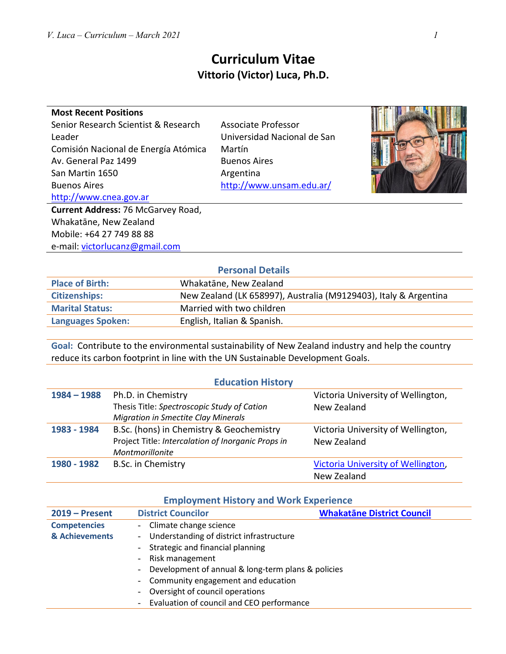**Most Recent Positions**

Av. General Paz 1499 San Martin 1650 Buenos Aires

http://www.cnea.gov.ar

Leader

# **Curriculum Vitae Vittorio (Victor) Luca, Ph.D.**

Associate Professor

Martín

Buenos Aires Argentina

Universidad Nacional de San

http://www.unsam.edu.ar/

**Current Address:** 76 McGarvey Road, Whakatāne, New Zealand Mobile: +64 27 749 88 88 e-mail: victorlucanz@gmail.com

Senior Research Scientist & Research

Comisión Nacional de Energía Atómica

**Place of Birth:** Whakatāne, New Zealand **Citizenships:** New Zealand (LK 658997), Australia (M9129403), Italy & Argentina **Marital Status:** Married with two children **Languages Spoken:** English, Italian & Spanish.

**Goal:** Contribute to the environmental sustainability of New Zealand industry and help the country reduce its carbon footprint in line with the UN Sustainable Development Goals.

| <b>Education History</b> |                                                    |                                    |  |
|--------------------------|----------------------------------------------------|------------------------------------|--|
| $1984 - 1988$            | Ph.D. in Chemistry                                 | Victoria University of Wellington, |  |
|                          | Thesis Title: Spectroscopic Study of Cation        | New Zealand                        |  |
|                          | <b>Migration in Smectite Clay Minerals</b>         |                                    |  |
| 1983 - 1984              | B.Sc. (hons) in Chemistry & Geochemistry           | Victoria University of Wellington, |  |
|                          | Project Title: Intercalation of Inorganic Props in | New Zealand                        |  |
|                          | Montmorillonite                                    |                                    |  |
| 1980 - 1982              | B.Sc. in Chemistry                                 | Victoria University of Wellington, |  |
|                          |                                                    | New Zealand                        |  |

### **Employment History and Work Experience**

| $2019 -$ Present    | <b>District Councilor</b>                                    | <b>Whakatāne District Council</b> |
|---------------------|--------------------------------------------------------------|-----------------------------------|
| <b>Competencies</b> | - Climate change science                                     |                                   |
| & Achievements      | - Understanding of district infrastructure                   |                                   |
|                     | - Strategic and financial planning                           |                                   |
|                     | - Risk management                                            |                                   |
|                     | Development of annual & long-term plans & policies<br>$\sim$ |                                   |
|                     | - Community engagement and education                         |                                   |
|                     | - Oversight of council operations                            |                                   |
|                     | - Evaluation of council and CEO performance                  |                                   |

# **Personal Details**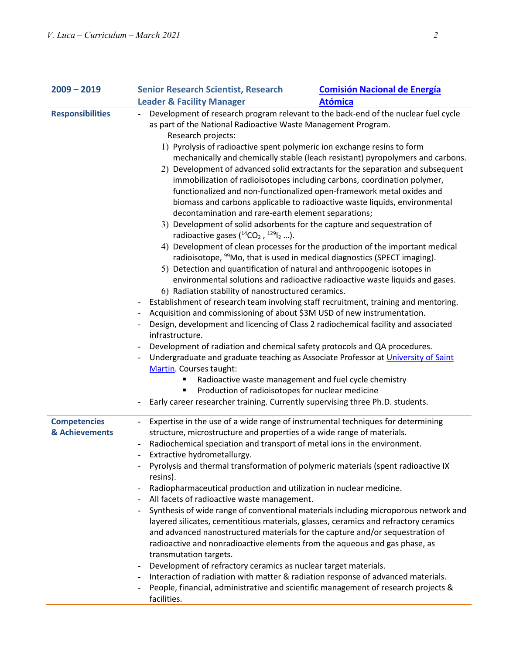| $2009 - 2019$                         | <b>Senior Research Scientist, Research</b>                                                                                                                                                                                                                                                                                                      | <b>Comisión Nacional de Energía</b>                                                                                                                                                                                                                                                                                                                                                                                                                                                                                                                                                                                                                                                                                                                                                                                                                                                                                                                                                                                                                                                                                                                                                                                                                                                                                  |  |
|---------------------------------------|-------------------------------------------------------------------------------------------------------------------------------------------------------------------------------------------------------------------------------------------------------------------------------------------------------------------------------------------------|----------------------------------------------------------------------------------------------------------------------------------------------------------------------------------------------------------------------------------------------------------------------------------------------------------------------------------------------------------------------------------------------------------------------------------------------------------------------------------------------------------------------------------------------------------------------------------------------------------------------------------------------------------------------------------------------------------------------------------------------------------------------------------------------------------------------------------------------------------------------------------------------------------------------------------------------------------------------------------------------------------------------------------------------------------------------------------------------------------------------------------------------------------------------------------------------------------------------------------------------------------------------------------------------------------------------|--|
|                                       | <b>Leader &amp; Facility Manager</b>                                                                                                                                                                                                                                                                                                            | <b>Atómica</b>                                                                                                                                                                                                                                                                                                                                                                                                                                                                                                                                                                                                                                                                                                                                                                                                                                                                                                                                                                                                                                                                                                                                                                                                                                                                                                       |  |
| <b>Responsibilities</b>               | as part of the National Radioactive Waste Management Program.<br>Research projects:                                                                                                                                                                                                                                                             | Development of research program relevant to the back-end of the nuclear fuel cycle                                                                                                                                                                                                                                                                                                                                                                                                                                                                                                                                                                                                                                                                                                                                                                                                                                                                                                                                                                                                                                                                                                                                                                                                                                   |  |
|                                       | $\overline{\phantom{0}}$<br>infrastructure.                                                                                                                                                                                                                                                                                                     | 1) Pyrolysis of radioactive spent polymeric ion exchange resins to form<br>mechanically and chemically stable (leach resistant) pyropolymers and carbons.<br>2) Development of advanced solid extractants for the separation and subsequent<br>immobilization of radioisotopes including carbons, coordination polymer,<br>functionalized and non-functionalized open-framework metal oxides and<br>biomass and carbons applicable to radioactive waste liquids, environmental<br>decontamination and rare-earth element separations;<br>3) Development of solid adsorbents for the capture and sequestration of<br>radioactive gases $(^{14}CO2$ , $^{129}I2$ ).<br>4) Development of clean processes for the production of the important medical<br>radioisotope, <sup>99</sup> Mo, that is used in medical diagnostics (SPECT imaging).<br>5) Detection and quantification of natural and anthropogenic isotopes in<br>environmental solutions and radioactive radioactive waste liquids and gases.<br>6) Radiation stability of nanostructured ceramics.<br>Establishment of research team involving staff recruitment, training and mentoring.<br>Acquisition and commissioning of about \$3M USD of new instrumentation.<br>Design, development and licencing of Class 2 radiochemical facility and associated |  |
|                                       | Development of radiation and chemical safety protocols and QA procedures.<br>Martin. Courses taught:<br>٠<br>Production of radioisotopes for nuclear medicine<br>٠                                                                                                                                                                              | Undergraduate and graduate teaching as Associate Professor at University of Saint<br>Radioactive waste management and fuel cycle chemistry                                                                                                                                                                                                                                                                                                                                                                                                                                                                                                                                                                                                                                                                                                                                                                                                                                                                                                                                                                                                                                                                                                                                                                           |  |
|                                       | Early career researcher training. Currently supervising three Ph.D. students.                                                                                                                                                                                                                                                                   |                                                                                                                                                                                                                                                                                                                                                                                                                                                                                                                                                                                                                                                                                                                                                                                                                                                                                                                                                                                                                                                                                                                                                                                                                                                                                                                      |  |
| <b>Competencies</b><br>& Achievements | $\overline{\phantom{0}}$<br>structure, microstructure and properties of a wide range of materials.<br>Radiochemical speciation and transport of metal ions in the environment.<br>Extractive hydrometallurgy.<br>resins).<br>Radiopharmaceutical production and utilization in nuclear medicine.<br>All facets of radioactive waste management. | Expertise in the use of a wide range of instrumental techniques for determining<br>Pyrolysis and thermal transformation of polymeric materials (spent radioactive IX                                                                                                                                                                                                                                                                                                                                                                                                                                                                                                                                                                                                                                                                                                                                                                                                                                                                                                                                                                                                                                                                                                                                                 |  |
|                                       | $\overline{\phantom{a}}$<br>radioactive and nonradioactive elements from the aqueous and gas phase, as<br>transmutation targets.<br>Development of refractory ceramics as nuclear target materials.<br>-<br>facilities.                                                                                                                         | Synthesis of wide range of conventional materials including microporous network and<br>layered silicates, cementitious materials, glasses, ceramics and refractory ceramics<br>and advanced nanostructured materials for the capture and/or sequestration of<br>Interaction of radiation with matter & radiation response of advanced materials.<br>People, financial, administrative and scientific management of research projects &                                                                                                                                                                                                                                                                                                                                                                                                                                                                                                                                                                                                                                                                                                                                                                                                                                                                               |  |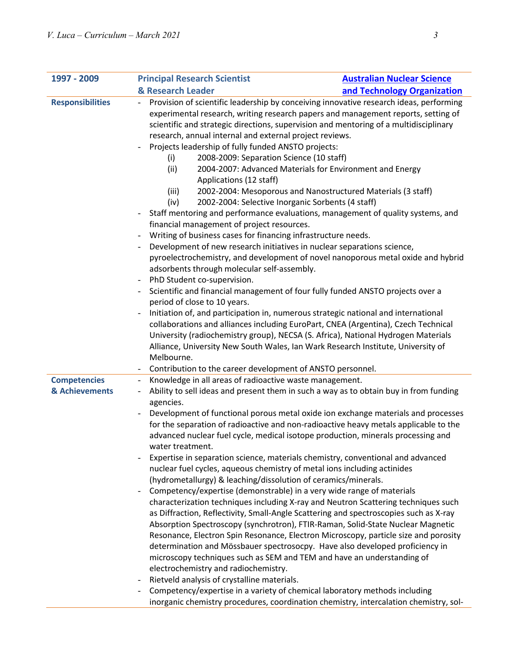| 1997 - 2009             | <b>Principal Research Scientist</b>                                                                                                                                                                                                                                                                                                                                                                                                                                                                                                                                                                                                                                                                                                                                                                                                                                                                                                                                                                  | <b>Australian Nuclear Science</b>                                                                                                                                                                                                                                                                                                                                                                                                                                                                                                                                                                                                                                                                                                                                                                                                                                                                                                                                                                              |  |
|-------------------------|------------------------------------------------------------------------------------------------------------------------------------------------------------------------------------------------------------------------------------------------------------------------------------------------------------------------------------------------------------------------------------------------------------------------------------------------------------------------------------------------------------------------------------------------------------------------------------------------------------------------------------------------------------------------------------------------------------------------------------------------------------------------------------------------------------------------------------------------------------------------------------------------------------------------------------------------------------------------------------------------------|----------------------------------------------------------------------------------------------------------------------------------------------------------------------------------------------------------------------------------------------------------------------------------------------------------------------------------------------------------------------------------------------------------------------------------------------------------------------------------------------------------------------------------------------------------------------------------------------------------------------------------------------------------------------------------------------------------------------------------------------------------------------------------------------------------------------------------------------------------------------------------------------------------------------------------------------------------------------------------------------------------------|--|
|                         | & Research Leader                                                                                                                                                                                                                                                                                                                                                                                                                                                                                                                                                                                                                                                                                                                                                                                                                                                                                                                                                                                    | and Technology Organization                                                                                                                                                                                                                                                                                                                                                                                                                                                                                                                                                                                                                                                                                                                                                                                                                                                                                                                                                                                    |  |
| <b>Responsibilities</b> | $\overline{\phantom{a}}$<br>research, annual internal and external project reviews.<br>Projects leadership of fully funded ANSTO projects:<br>2008-2009: Separation Science (10 staff)<br>(i)<br>(ii)<br>Applications (12 staff)<br>(iii)<br>2002-2004: Selective Inorganic Sorbents (4 staff)<br>(iv)<br>financial management of project resources.<br>Writing of business cases for financing infrastructure needs.<br>$\overline{\phantom{a}}$<br>Development of new research initiatives in nuclear separations science,<br>adsorbents through molecular self-assembly.<br>PhD Student co-supervision.<br>$\overline{\phantom{a}}$<br>period of close to 10 years.<br>Melbourne.                                                                                                                                                                                                                                                                                                                 | Provision of scientific leadership by conceiving innovative research ideas, performing<br>experimental research, writing research papers and management reports, setting of<br>scientific and strategic directions, supervision and mentoring of a multidisciplinary<br>2004-2007: Advanced Materials for Environment and Energy<br>2002-2004: Mesoporous and Nanostructured Materials (3 staff)<br>Staff mentoring and performance evaluations, management of quality systems, and<br>pyroelectrochemistry, and development of novel nanoporous metal oxide and hybrid<br>Scientific and financial management of four fully funded ANSTO projects over a<br>Initiation of, and participation in, numerous strategic national and international<br>collaborations and alliances including EuroPart, CNEA (Argentina), Czech Technical<br>University (radiochemistry group), NECSA (S. Africa), National Hydrogen Materials<br>Alliance, University New South Wales, Ian Wark Research Institute, University of |  |
| <b>Competencies</b>     | Contribution to the career development of ANSTO personnel.<br>Knowledge in all areas of radioactive waste management.                                                                                                                                                                                                                                                                                                                                                                                                                                                                                                                                                                                                                                                                                                                                                                                                                                                                                |                                                                                                                                                                                                                                                                                                                                                                                                                                                                                                                                                                                                                                                                                                                                                                                                                                                                                                                                                                                                                |  |
| & Achievements          | Ability to sell ideas and present them in such a way as to obtain buy in from funding<br>agencies.<br>Development of functional porous metal oxide ion exchange materials and processes<br>for the separation of radioactive and non-radioactive heavy metals applicable to the<br>advanced nuclear fuel cycle, medical isotope production, minerals processing and<br>water treatment.<br>Expertise in separation science, materials chemistry, conventional and advanced                                                                                                                                                                                                                                                                                                                                                                                                                                                                                                                           |                                                                                                                                                                                                                                                                                                                                                                                                                                                                                                                                                                                                                                                                                                                                                                                                                                                                                                                                                                                                                |  |
|                         | nuclear fuel cycles, aqueous chemistry of metal ions including actinides<br>(hydrometallurgy) & leaching/dissolution of ceramics/minerals.<br>Competency/expertise (demonstrable) in a very wide range of materials<br>characterization techniques including X-ray and Neutron Scattering techniques such<br>as Diffraction, Reflectivity, Small-Angle Scattering and spectroscopies such as X-ray<br>Absorption Spectroscopy (synchrotron), FTIR-Raman, Solid-State Nuclear Magnetic<br>Resonance, Electron Spin Resonance, Electron Microscopy, particle size and porosity<br>determination and Mössbauer spectrosocpy. Have also developed proficiency in<br>microscopy techniques such as SEM and TEM and have an understanding of<br>electrochemistry and radiochemistry.<br>Rietveld analysis of crystalline materials.<br>Competency/expertise in a variety of chemical laboratory methods including<br>inorganic chemistry procedures, coordination chemistry, intercalation chemistry, sol- |                                                                                                                                                                                                                                                                                                                                                                                                                                                                                                                                                                                                                                                                                                                                                                                                                                                                                                                                                                                                                |  |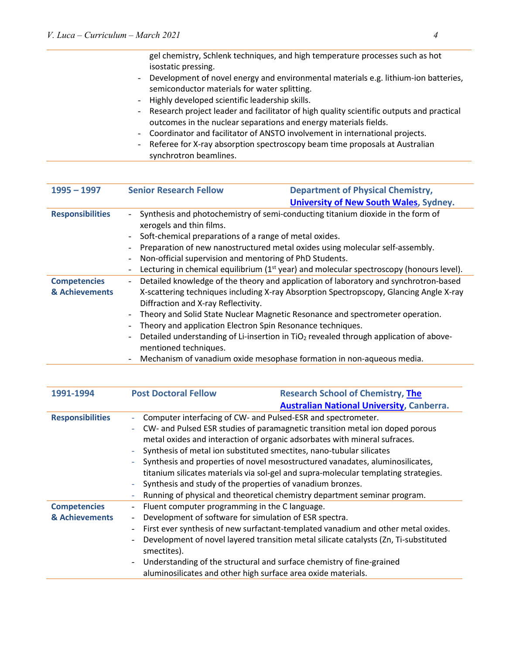gel chemistry, Schlenk techniques, and high temperature processes such as hot isostatic pressing.

- Development of novel energy and environmental materials e.g. lithium-ion batteries, semiconductor materials for water splitting.
- Highly developed scientific leadership skills.
- Research project leader and facilitator of high quality scientific outputs and practical outcomes in the nuclear separations and energy materials fields.
- Coordinator and facilitator of ANSTO involvement in international projects.
- Referee for X-ray absorption spectroscopy beam time proposals at Australian synchrotron beamlines.

| $1995 - 1997$                         | <b>Senior Research Fellow</b>                                                                                                                                                                                                                                                                                                                                                                                           | <b>Department of Physical Chemistry,</b>                                                             |
|---------------------------------------|-------------------------------------------------------------------------------------------------------------------------------------------------------------------------------------------------------------------------------------------------------------------------------------------------------------------------------------------------------------------------------------------------------------------------|------------------------------------------------------------------------------------------------------|
|                                       |                                                                                                                                                                                                                                                                                                                                                                                                                         | <b>University of New South Wales, Sydney.</b>                                                        |
| <b>Responsibilities</b>               | Synthesis and photochemistry of semi-conducting titanium dioxide in the form of<br>$\blacksquare$<br>xerogels and thin films.<br>Soft-chemical preparations of a range of metal oxides.<br>$\overline{\phantom{a}}$<br>Preparation of new nanostructured metal oxides using molecular self-assembly.<br>$\overline{\phantom{a}}$<br>Non-official supervision and mentoring of PhD Students.<br>$\overline{\phantom{a}}$ |                                                                                                      |
|                                       | $\overline{\phantom{a}}$                                                                                                                                                                                                                                                                                                                                                                                                | Lecturing in chemical equilibrium (1 <sup>st</sup> year) and molecular spectroscopy (honours level). |
| <b>Competencies</b><br>& Achievements | Detailed knowledge of the theory and application of laboratory and synchrotron-based<br>$\overline{\phantom{a}}$<br>X-scattering techniques including X-ray Absorption Spectropscopy, Glancing Angle X-ray<br>Diffraction and X-ray Reflectivity.<br>Theory and Solid State Nuclear Magnetic Resonance and spectrometer operation.<br>$\overline{\phantom{a}}$                                                          |                                                                                                      |
|                                       | Theory and application Electron Spin Resonance techniques.<br>$\overline{\phantom{a}}$<br>$\overline{\phantom{a}}$<br>mentioned techniques.<br>Mechanism of vanadium oxide mesophase formation in non-aqueous media.<br>$\overline{\phantom{a}}$                                                                                                                                                                        | Detailed understanding of Li-insertion in TiO <sub>2</sub> revealed through application of above-    |

| 1991-1994                             | <b>Post Doctoral Fellow</b>                                                                                                                                                                                                                                                                                                                                                                                                                                                                                                                                                                                                             | <b>Research School of Chemistry, The</b>                                                                                                                                                                                                                                                                                                                                                                                                                                                                                                 |  |
|---------------------------------------|-----------------------------------------------------------------------------------------------------------------------------------------------------------------------------------------------------------------------------------------------------------------------------------------------------------------------------------------------------------------------------------------------------------------------------------------------------------------------------------------------------------------------------------------------------------------------------------------------------------------------------------------|------------------------------------------------------------------------------------------------------------------------------------------------------------------------------------------------------------------------------------------------------------------------------------------------------------------------------------------------------------------------------------------------------------------------------------------------------------------------------------------------------------------------------------------|--|
|                                       |                                                                                                                                                                                                                                                                                                                                                                                                                                                                                                                                                                                                                                         | <b>Australian National University, Canberra.</b>                                                                                                                                                                                                                                                                                                                                                                                                                                                                                         |  |
| <b>Responsibilities</b>               | Computer interfacing of CW- and Pulsed-ESR and spectrometer.<br>$\overline{\phantom{a}}$<br>CW- and Pulsed ESR studies of paramagnetic transition metal ion doped porous<br>$\equiv$<br>metal oxides and interaction of organic adsorbates with mineral sufraces.<br>Synthesis of metal ion substituted smectites, nano-tubular silicates<br>$\overline{\phantom{a}}$<br>Synthesis and properties of novel mesostructured vanadates, aluminosilicates,<br>titanium silicates materials via sol-gel and supra-molecular templating strategies.<br>Synthesis and study of the properties of vanadium bronzes.<br>$\overline{\phantom{a}}$ |                                                                                                                                                                                                                                                                                                                                                                                                                                                                                                                                          |  |
| <b>Competencies</b><br>& Achievements | $\overline{\phantom{a}}$<br>$\overline{\phantom{a}}$<br>$\qquad \qquad \blacksquare$<br>$\overline{\phantom{a}}$<br>smectites).<br>$\blacksquare$                                                                                                                                                                                                                                                                                                                                                                                                                                                                                       | Running of physical and theoretical chemistry department seminar program.<br>$\overline{\phantom{a}}$<br>Fluent computer programming in the C language.<br>Development of software for simulation of ESR spectra.<br>First ever synthesis of new surfactant-templated vanadium and other metal oxides.<br>Development of novel layered transition metal silicate catalysts (Zn, Ti-substituted<br>Understanding of the structural and surface chemistry of fine-grained<br>aluminosilicates and other high surface area oxide materials. |  |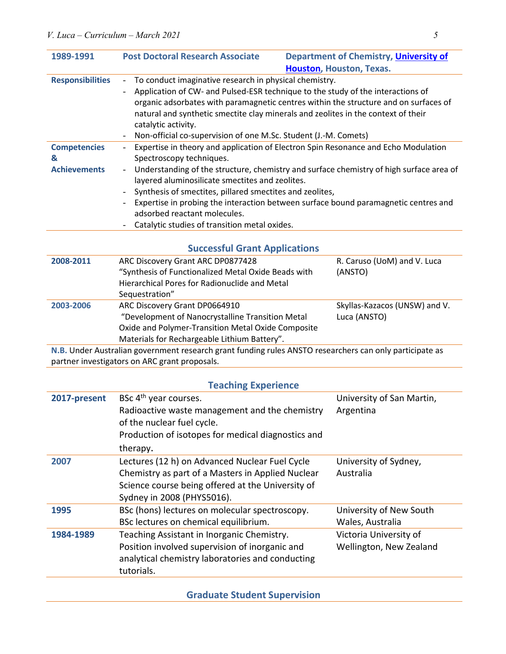| 1989-1991                                                                                               | <b>Post Doctoral Research Associate</b><br>Department of Chemistry, University of    |                                                                                         |  |
|---------------------------------------------------------------------------------------------------------|--------------------------------------------------------------------------------------|-----------------------------------------------------------------------------------------|--|
|                                                                                                         |                                                                                      | Houston, Houston, Texas.                                                                |  |
| <b>Responsibilities</b>                                                                                 | To conduct imaginative research in physical chemistry.                               |                                                                                         |  |
|                                                                                                         | Application of CW- and Pulsed-ESR technique to the study of the interactions of      |                                                                                         |  |
|                                                                                                         | organic adsorbates with paramagnetic centres within the structure and on surfaces of |                                                                                         |  |
|                                                                                                         | natural and synthetic smectite clay minerals and zeolites in the context of their    |                                                                                         |  |
|                                                                                                         | catalytic activity.                                                                  |                                                                                         |  |
|                                                                                                         | Non-official co-supervision of one M.Sc. Student (J.-M. Comets)                      |                                                                                         |  |
| <b>Competencies</b>                                                                                     | $\overline{\phantom{0}}$                                                             | Expertise in theory and application of Electron Spin Resonance and Echo Modulation      |  |
| &                                                                                                       | Spectroscopy techniques.                                                             |                                                                                         |  |
| <b>Achievements</b>                                                                                     | $\overline{\phantom{0}}$                                                             | Understanding of the structure, chemistry and surface chemistry of high surface area of |  |
|                                                                                                         | layered aluminosilicate smectites and zeolites.                                      |                                                                                         |  |
|                                                                                                         | Synthesis of smectites, pillared smectites and zeolites,<br>$\overline{\phantom{0}}$ |                                                                                         |  |
|                                                                                                         | Expertise in probing the interaction between surface bound paramagnetic centres and  |                                                                                         |  |
|                                                                                                         | adsorbed reactant molecules.                                                         |                                                                                         |  |
|                                                                                                         | Catalytic studies of transition metal oxides.                                        |                                                                                         |  |
|                                                                                                         |                                                                                      |                                                                                         |  |
|                                                                                                         | <b>Successful Grant Applications</b>                                                 |                                                                                         |  |
| 2008-2011                                                                                               | ARC Discovery Grant ARC DP0877428                                                    | R. Caruso (UoM) and V. Luca                                                             |  |
|                                                                                                         | "Synthesis of Functionalized Metal Oxide Beads with                                  | (ANSTO)                                                                                 |  |
|                                                                                                         | Hierarchical Pores for Radionuclide and Metal                                        |                                                                                         |  |
|                                                                                                         | Sequestration"                                                                       |                                                                                         |  |
| 2003-2006                                                                                               | ARC Discovery Grant DP0664910                                                        | Skyllas-Kazacos (UNSW) and V.                                                           |  |
|                                                                                                         | "Development of Nanocrystalline Transition Metal                                     | Luca (ANSTO)                                                                            |  |
|                                                                                                         | Oxide and Polymer-Transition Metal Oxide Composite                                   |                                                                                         |  |
|                                                                                                         | Materials for Rechargeable Lithium Battery".                                         |                                                                                         |  |
| N.B. Under Australian government research grant funding rules ANSTO researchers can only participate as |                                                                                      |                                                                                         |  |
|                                                                                                         | partner investigators on ARC grant proposals.                                        |                                                                                         |  |

# **Teaching Experience**

| 2017-present | BSc 4 <sup>th</sup> year courses.<br>Radioactive waste management and the chemistry<br>of the nuclear fuel cycle.<br>Production of isotopes for medical diagnostics and<br>therapy.    | University of San Martin,<br>Argentina            |
|--------------|----------------------------------------------------------------------------------------------------------------------------------------------------------------------------------------|---------------------------------------------------|
| 2007         | Lectures (12 h) on Advanced Nuclear Fuel Cycle<br>Chemistry as part of a Masters in Applied Nuclear<br>Science course being offered at the University of<br>Sydney in 2008 (PHYS5016). | University of Sydney,<br>Australia                |
| 1995         | BSc (hons) lectures on molecular spectroscopy.<br>BSc lectures on chemical equilibrium.                                                                                                | University of New South<br>Wales, Australia       |
| 1984-1989    | Teaching Assistant in Inorganic Chemistry.<br>Position involved supervision of inorganic and<br>analytical chemistry laboratories and conducting<br>tutorials.                         | Victoria University of<br>Wellington, New Zealand |

**Graduate Student Supervision**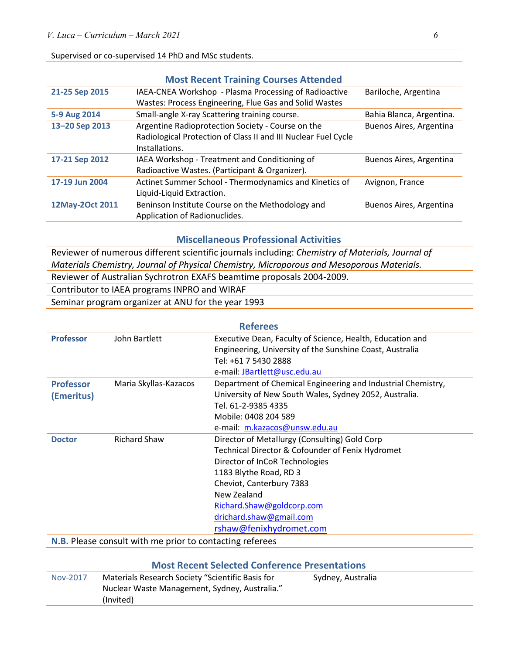#### Supervised or co-supervised 14 PhD and MSc students.

|                 | <b>Most Recent Training Courses Attended</b>                   |                          |
|-----------------|----------------------------------------------------------------|--------------------------|
| 21-25 Sep 2015  | IAEA-CNEA Workshop - Plasma Processing of Radioactive          | Bariloche, Argentina     |
|                 | Wastes: Process Engineering, Flue Gas and Solid Wastes         |                          |
| 5-9 Aug 2014    | Small-angle X-ray Scattering training course.                  | Bahia Blanca, Argentina. |
| 13-20 Sep 2013  | Argentine Radioprotection Society - Course on the              | Buenos Aires, Argentina  |
|                 | Radiological Protection of Class II and III Nuclear Fuel Cycle |                          |
|                 | Installations.                                                 |                          |
| 17-21 Sep 2012  | IAEA Workshop - Treatment and Conditioning of                  | Buenos Aires, Argentina  |
|                 | Radioactive Wastes. (Participant & Organizer).                 |                          |
| 17-19 Jun 2004  | Actinet Summer School - Thermodynamics and Kinetics of         | Avignon, France          |
|                 | Liquid-Liquid Extraction.                                      |                          |
| 12May-2Oct 2011 | Beninson Institute Course on the Methodology and               | Buenos Aires, Argentina  |
|                 | Application of Radionuclides.                                  |                          |

#### **Miscellaneous Professional Activities**

Reviewer of numerous different scientific journals including: *Chemistry of Materials, Journal of Materials Chemistry, Journal of Physical Chemistry, Microporous and Mesoporous Materials.*

Reviewer of Australian Sychrotron EXAFS beamtime proposals 2004-2009.

Contributor to IAEA programs INPRO and WIRAF

Seminar program organizer at ANU for the year 1993

| <b>Referees</b>                                                 |                       |                                                              |  |
|-----------------------------------------------------------------|-----------------------|--------------------------------------------------------------|--|
| <b>Professor</b>                                                | John Bartlett         | Executive Dean, Faculty of Science, Health, Education and    |  |
|                                                                 |                       | Engineering, University of the Sunshine Coast, Australia     |  |
|                                                                 |                       | Tel: +61 7 5430 2888                                         |  |
|                                                                 |                       | e-mail: JBartlett@usc.edu.au                                 |  |
| <b>Professor</b>                                                | Maria Skyllas-Kazacos | Department of Chemical Engineering and Industrial Chemistry, |  |
| (Emeritus)                                                      |                       | University of New South Wales, Sydney 2052, Australia.       |  |
|                                                                 |                       | Tel. 61-2-9385 4335                                          |  |
|                                                                 |                       | Mobile: 0408 204 589                                         |  |
|                                                                 |                       | e-mail: m.kazacos@unsw.edu.au                                |  |
| <b>Doctor</b>                                                   | <b>Richard Shaw</b>   | Director of Metallurgy (Consulting) Gold Corp                |  |
|                                                                 |                       | Technical Director & Cofounder of Fenix Hydromet             |  |
|                                                                 |                       | Director of InCoR Technologies                               |  |
|                                                                 |                       | 1183 Blythe Road, RD 3                                       |  |
|                                                                 |                       | Cheviot, Canterbury 7383                                     |  |
|                                                                 |                       | New Zealand                                                  |  |
|                                                                 |                       | Richard.Shaw@goldcorp.com                                    |  |
|                                                                 |                       | drichard.shaw@gmail.com                                      |  |
|                                                                 |                       | rshaw@fenixhydromet.com                                      |  |
| <b>N.B.</b> Please consult with me prior to contacting referees |                       |                                                              |  |

| <b>Most Recent Selected Conference Presentations</b> |                                                                                                                |                   |  |
|------------------------------------------------------|----------------------------------------------------------------------------------------------------------------|-------------------|--|
| Nov-2017                                             | Materials Research Society "Scientific Basis for<br>Nuclear Waste Management, Sydney, Australia."<br>(Invited) | Sydney, Australia |  |